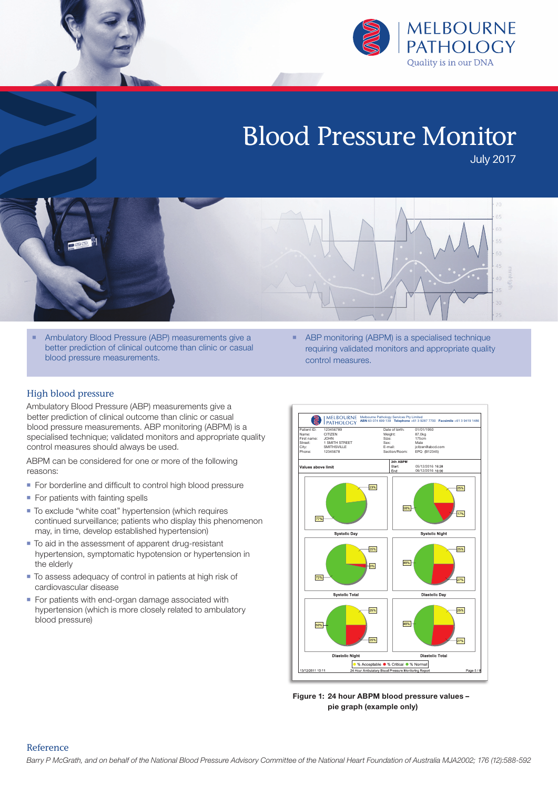

# Blood Pressure Monitor

July 2017

- **Ambulatory Blood Pressure (ABP) measurements give a** better prediction of clinical outcome than clinic or casual blood pressure measurements.
- High blood pressure

Ambulatory Blood Pressure (ABP) measurements give a better prediction of clinical outcome than clinic or casual blood pressure measurements. ABP monitoring (ABPM) is a specialised technique; validated monitors and appropriate quality control measures should always be used.

ABPM can be considered for one or more of the following reasons:

- For borderline and difficult to control high blood pressure
- For patients with fainting spells
- To exclude "white coat" hypertension (which requires continued surveillance; patients who display this phenomenon may, in time, develop established hypertension)
- $\blacksquare$  To aid in the assessment of apparent drug-resistant hypertension, symptomatic hypotension or hypertension in the elderly
- $\blacksquare$  To assess adequacy of control in patients at high risk of cardiovascular disease
- For patients with end-organ damage associated with hypertension (which is more closely related to ambulatory blood pressure)

■ ABP monitoring (ABPM) is a specialised technique requiring validated monitors and appropriate quality control measures.



**Figure 1: 24 hour ABPM blood pressure values – pie graph (example only)**